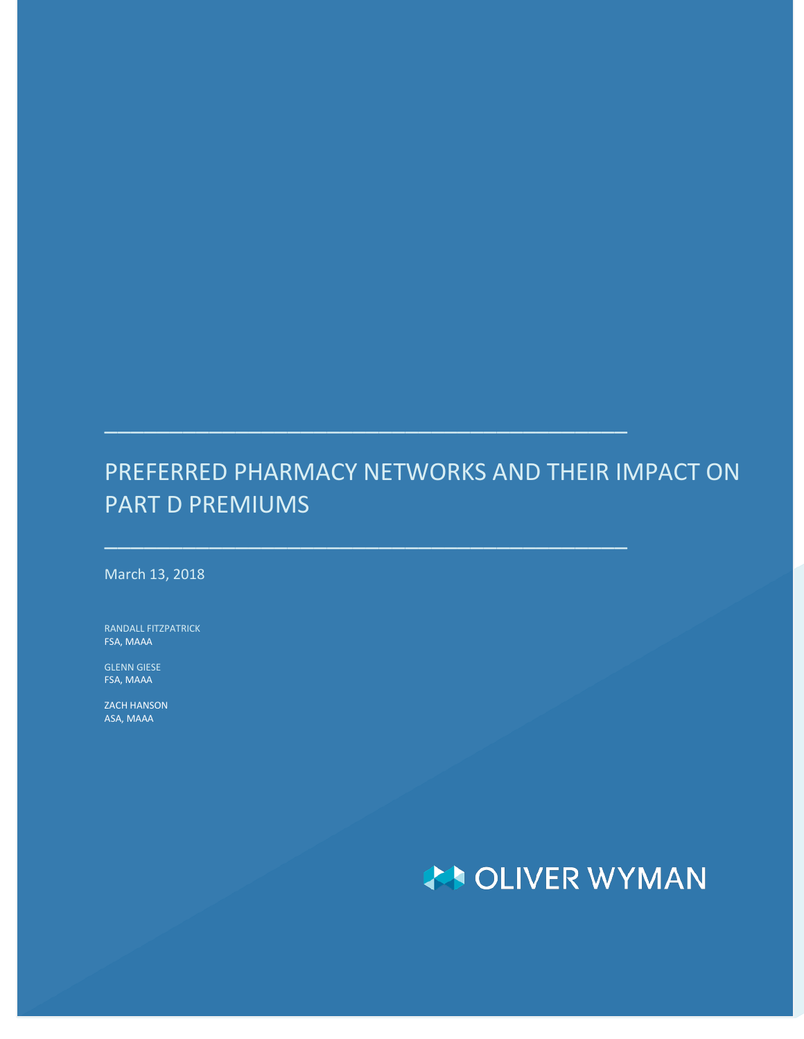## PREFERRED PHARMACY NETWORKS AND THEIR IMPACT ON PART D PREMIUMS

 $\overline{\phantom{a}}$  , and the contribution of the contribution of  $\overline{\phantom{a}}$  , and  $\overline{\phantom{a}}$ 

\_\_\_\_\_\_\_\_\_\_\_\_\_\_\_\_\_\_\_\_\_\_\_\_\_\_\_\_\_\_\_\_\_\_\_\_\_\_\_\_

March 13, 2018

RANDALL FITZPATRICK FSA, MAAA

GLENN GIESE FSA, MAAA

ZACH HANSON ASA, MAAA

# **AN OLIVER WYMAN**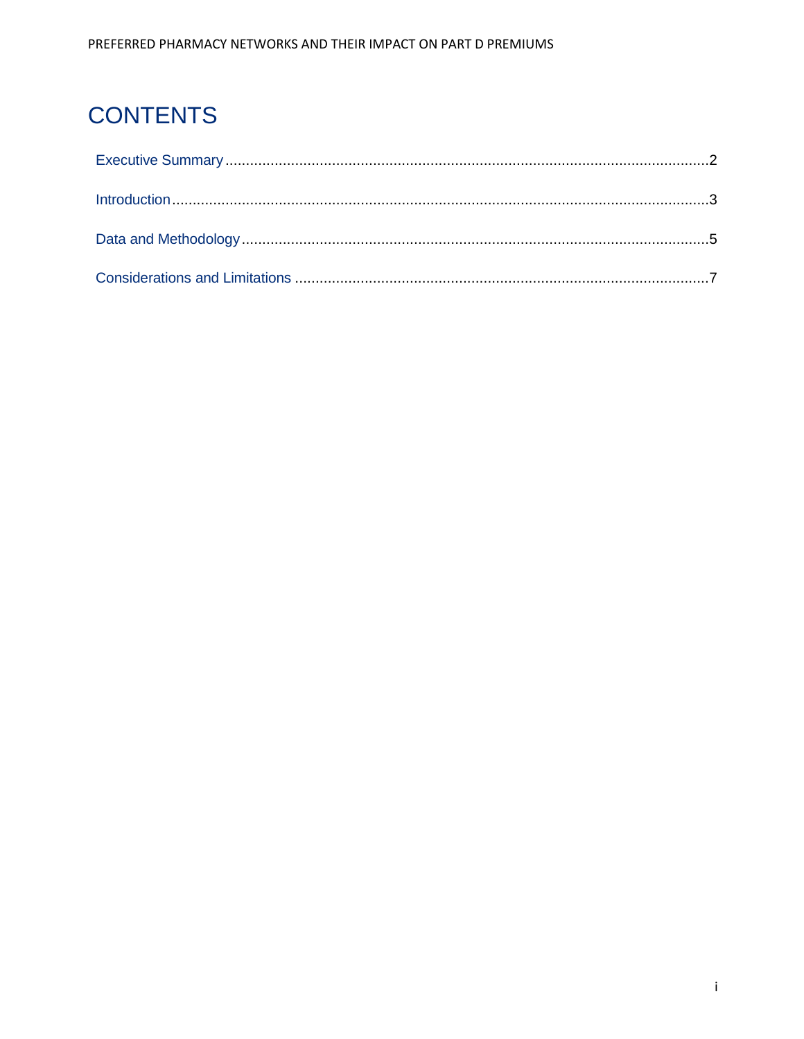## **CONTENTS**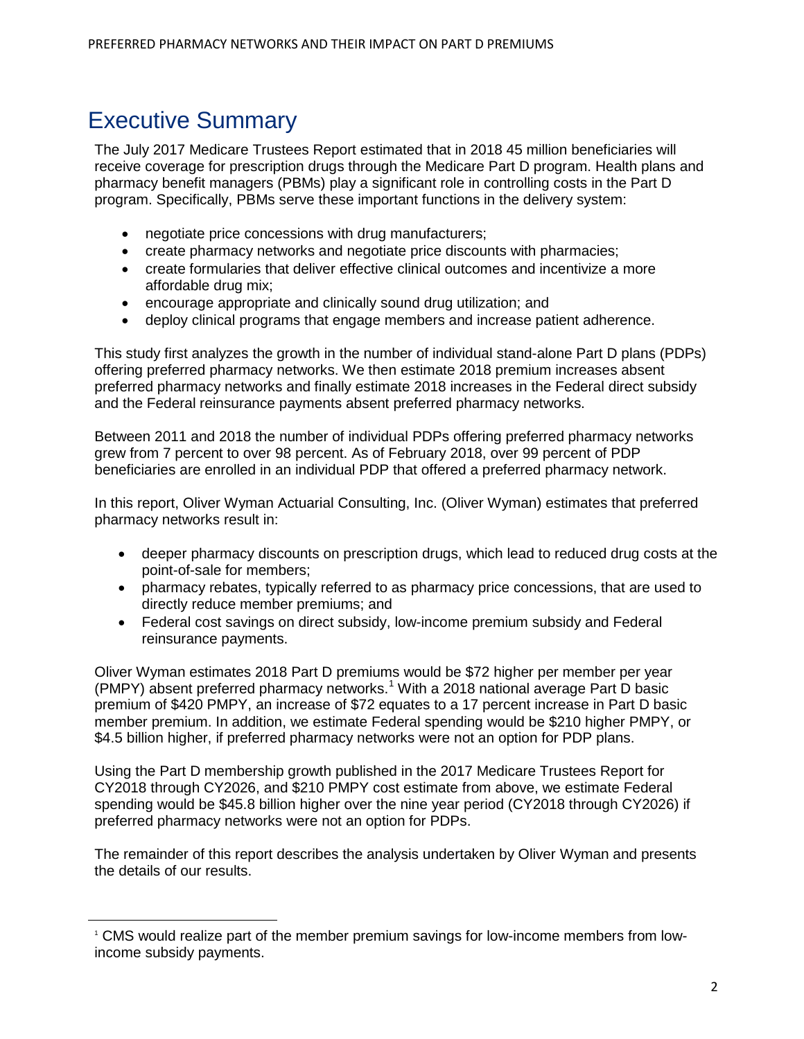### Executive Summary

<span id="page-2-0"></span>**.** 

The July 2017 Medicare Trustees Report estimated that in 2018 45 million beneficiaries will receive coverage for prescription drugs through the Medicare Part D program. Health plans and pharmacy benefit managers (PBMs) play a significant role in controlling costs in the Part D program. Specifically, PBMs serve these important functions in the delivery system:

- negotiate price concessions with drug manufacturers;
- create pharmacy networks and negotiate price discounts with pharmacies;
- create formularies that deliver effective clinical outcomes and incentivize a more affordable drug mix;
- encourage appropriate and clinically sound drug utilization; and
- deploy clinical programs that engage members and increase patient adherence.

This study first analyzes the growth in the number of individual stand-alone Part D plans (PDPs) offering preferred pharmacy networks. We then estimate 2018 premium increases absent preferred pharmacy networks and finally estimate 2018 increases in the Federal direct subsidy and the Federal reinsurance payments absent preferred pharmacy networks.

Between 2011 and 2018 the number of individual PDPs offering preferred pharmacy networks grew from 7 percent to over 98 percent. As of February 2018, over 99 percent of PDP beneficiaries are enrolled in an individual PDP that offered a preferred pharmacy network.

In this report, Oliver Wyman Actuarial Consulting, Inc. (Oliver Wyman) estimates that preferred pharmacy networks result in:

- deeper pharmacy discounts on prescription drugs, which lead to reduced drug costs at the point-of-sale for members;
- pharmacy rebates, typically referred to as pharmacy price concessions, that are used to directly reduce member premiums; and
- Federal cost savings on direct subsidy, low-income premium subsidy and Federal reinsurance payments.

Oliver Wyman estimates 2018 Part D premiums would be \$72 higher per member per year (PMPY) absent preferred pharmacy networks.<sup>[1](#page-2-0)</sup> With a 2018 national average Part D basic premium of \$420 PMPY, an increase of \$72 equates to a 17 percent increase in Part D basic member premium. In addition, we estimate Federal spending would be \$210 higher PMPY, or \$4.5 billion higher, if preferred pharmacy networks were not an option for PDP plans.

Using the Part D membership growth published in the 2017 Medicare Trustees Report for CY2018 through CY2026, and \$210 PMPY cost estimate from above, we estimate Federal spending would be \$45.8 billion higher over the nine year period (CY2018 through CY2026) if preferred pharmacy networks were not an option for PDPs.

The remainder of this report describes the analysis undertaken by Oliver Wyman and presents the details of our results.

<sup>1</sup> CMS would realize part of the member premium savings for low-income members from lowincome subsidy payments.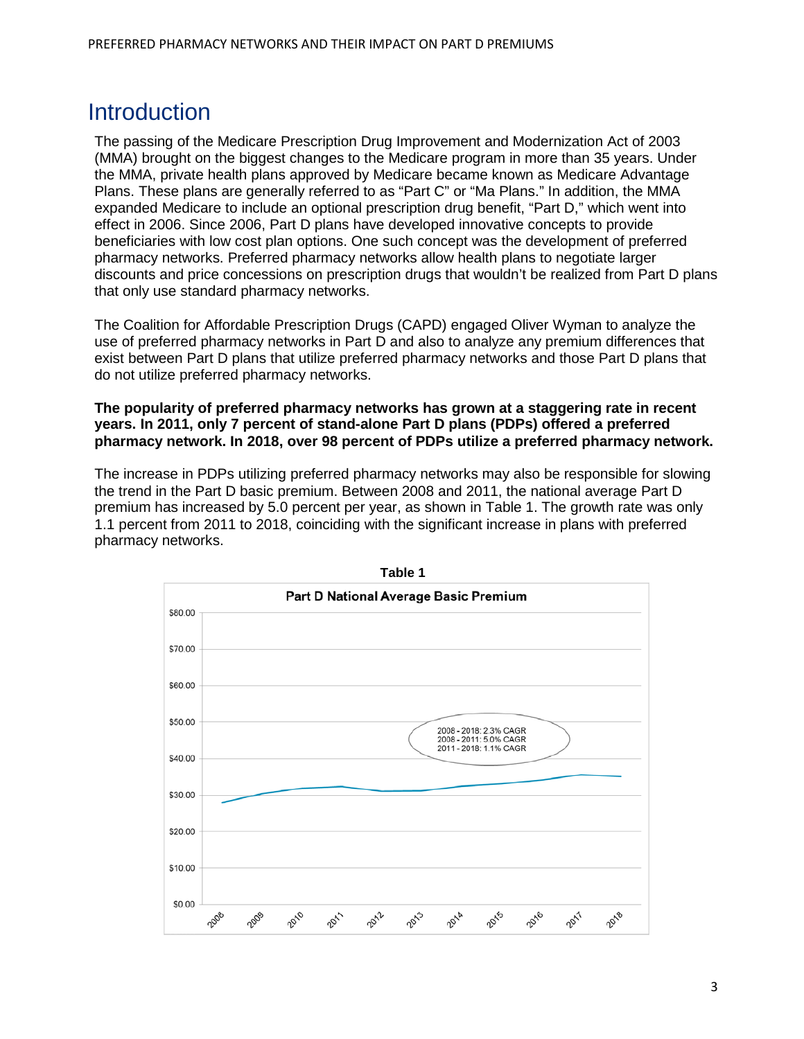#### Introduction

The passing of the Medicare Prescription Drug Improvement and Modernization Act of 2003 (MMA) brought on the biggest changes to the Medicare program in more than 35 years. Under the MMA, private health plans approved by Medicare became known as Medicare Advantage Plans. These plans are generally referred to as "Part C" or "Ma Plans." In addition, the MMA expanded Medicare to include an optional prescription drug benefit, "Part D," which went into effect in 2006. Since 2006, Part D plans have developed innovative concepts to provide beneficiaries with low cost plan options. One such concept was the development of preferred pharmacy networks. Preferred pharmacy networks allow health plans to negotiate larger discounts and price concessions on prescription drugs that wouldn't be realized from Part D plans that only use standard pharmacy networks.

The Coalition for Affordable Prescription Drugs (CAPD) engaged Oliver Wyman to analyze the use of preferred pharmacy networks in Part D and also to analyze any premium differences that exist between Part D plans that utilize preferred pharmacy networks and those Part D plans that do not utilize preferred pharmacy networks.

#### **The popularity of preferred pharmacy networks has grown at a staggering rate in recent years. In 2011, only 7 percent of stand-alone Part D plans (PDPs) offered a preferred pharmacy network. In 2018, over 98 percent of PDPs utilize a preferred pharmacy network.**

The increase in PDPs utilizing preferred pharmacy networks may also be responsible for slowing the trend in the Part D basic premium. Between 2008 and 2011, the national average Part D premium has increased by 5.0 percent per year, as shown in Table 1. The growth rate was only 1.1 percent from 2011 to 2018, coinciding with the significant increase in plans with preferred pharmacy networks.

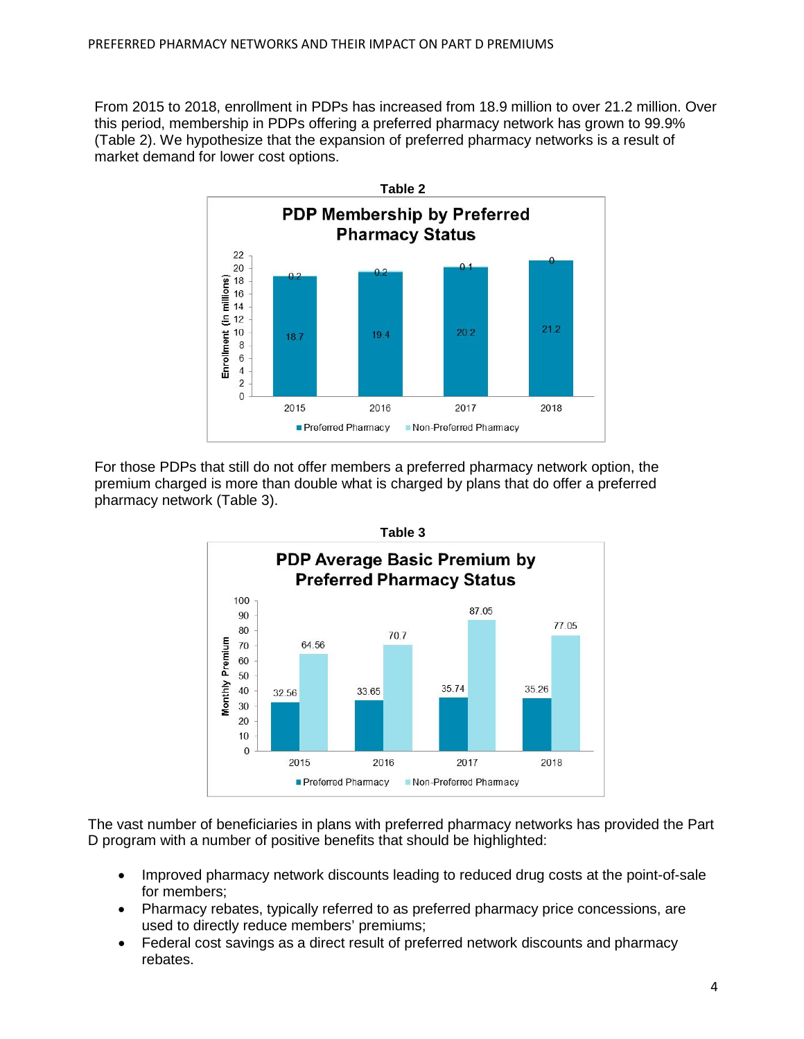From 2015 to 2018, enrollment in PDPs has increased from 18.9 million to over 21.2 million. Over this period, membership in PDPs offering a preferred pharmacy network has grown to 99.9% (Table 2). We hypothesize that the expansion of preferred pharmacy networks is a result of market demand for lower cost options.



For those PDPs that still do not offer members a preferred pharmacy network option, the premium charged is more than double what is charged by plans that do offer a preferred pharmacy network (Table 3).



The vast number of beneficiaries in plans with preferred pharmacy networks has provided the Part D program with a number of positive benefits that should be highlighted:

- Improved pharmacy network discounts leading to reduced drug costs at the point-of-sale for members;
- Pharmacy rebates, typically referred to as preferred pharmacy price concessions, are used to directly reduce members' premiums;
- Federal cost savings as a direct result of preferred network discounts and pharmacy rebates.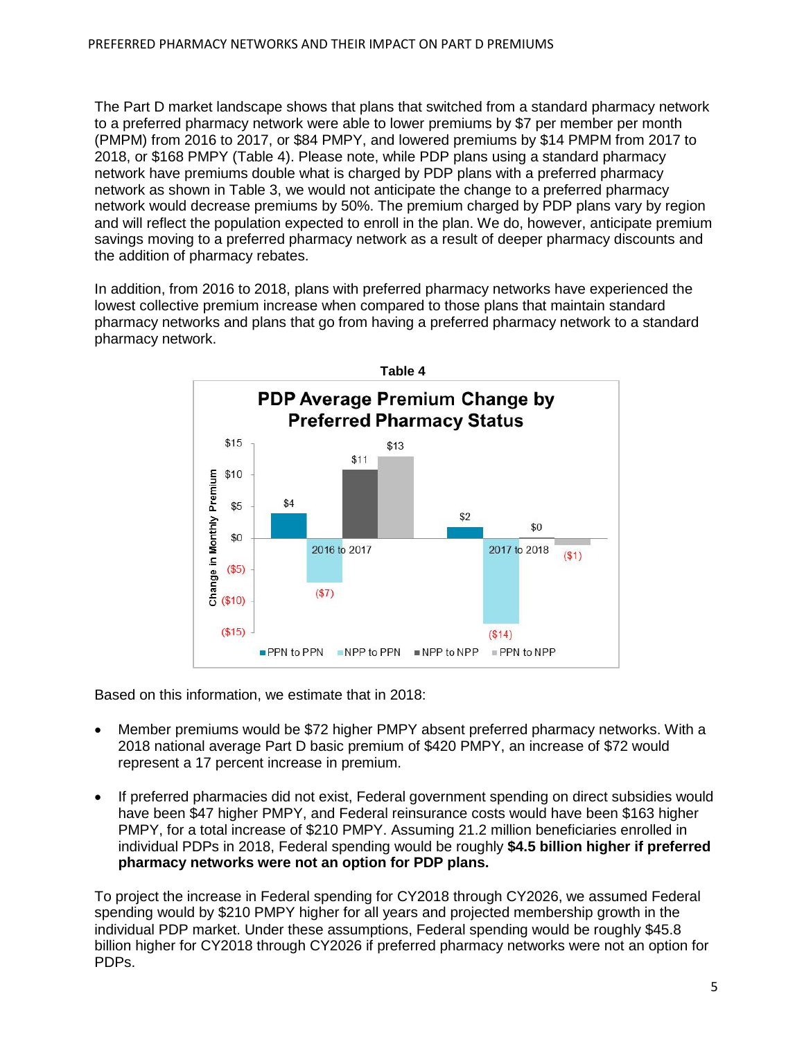The Part D market landscape shows that plans that switched from a standard pharmacy network to a preferred pharmacy network were able to lower premiums by \$7 per member per month (PMPM) from 2016 to 2017, or \$84 PMPY, and lowered premiums by \$14 PMPM from 2017 to 2018, or \$168 PMPY (Table 4). Please note, while PDP plans using a standard pharmacy network have premiums double what is charged by PDP plans with a preferred pharmacy network as shown in Table 3, we would not anticipate the change to a preferred pharmacy network would decrease premiums by 50%. The premium charged by PDP plans vary by region and will reflect the population expected to enroll in the plan. We do, however, anticipate premium savings moving to a preferred pharmacy network as a result of deeper pharmacy discounts and the addition of pharmacy rebates.

In addition, from 2016 to 2018, plans with preferred pharmacy networks have experienced the lowest collective premium increase when compared to those plans that maintain standard pharmacy networks and plans that go from having a preferred pharmacy network to a standard pharmacy network.



Based on this information, we estimate that in 2018:

- Member premiums would be \$72 higher PMPY absent preferred pharmacy networks. With a 2018 national average Part D basic premium of \$420 PMPY, an increase of \$72 would represent a 17 percent increase in premium.
- If preferred pharmacies did not exist, Federal government spending on direct subsidies would have been \$47 higher PMPY, and Federal reinsurance costs would have been \$163 higher PMPY, for a total increase of \$210 PMPY. Assuming 21.2 million beneficiaries enrolled in individual PDPs in 2018, Federal spending would be roughly **\$4.5 billion higher if preferred pharmacy networks were not an option for PDP plans.**

To project the increase in Federal spending for CY2018 through CY2026, we assumed Federal spending would by \$210 PMPY higher for all years and projected membership growth in the individual PDP market. Under these assumptions, Federal spending would be roughly \$45.8 billion higher for CY2018 through CY2026 if preferred pharmacy networks were not an option for PDPs.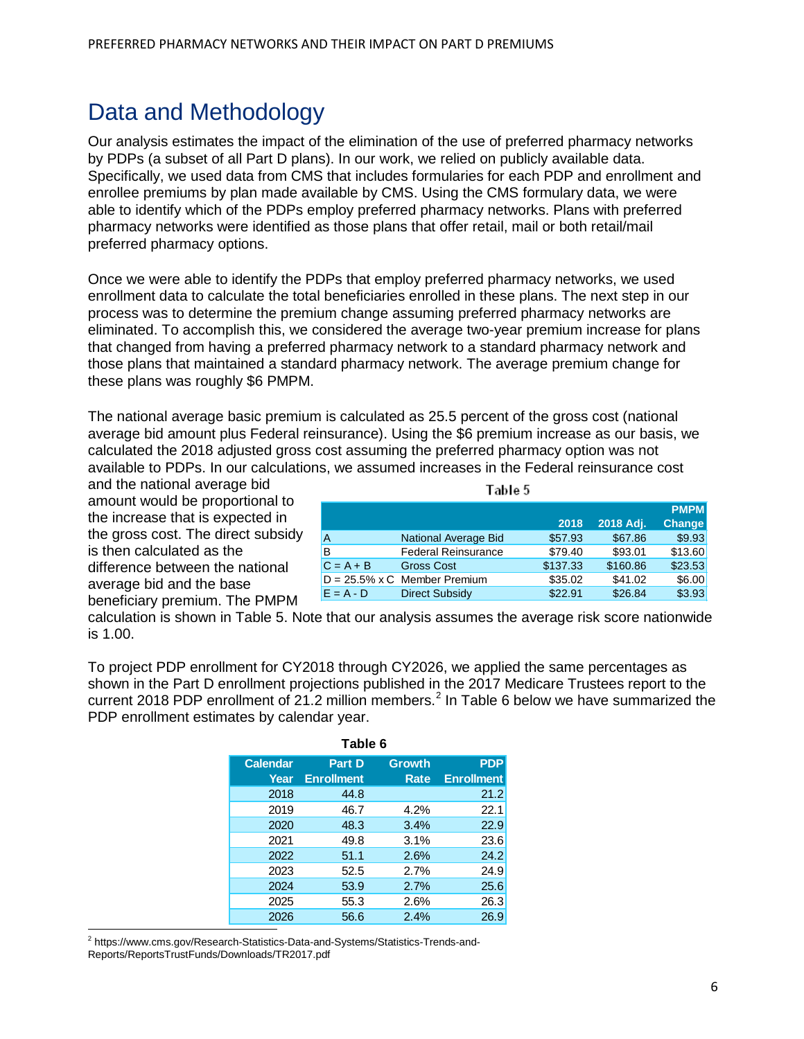#### Data and Methodology

Our analysis estimates the impact of the elimination of the use of preferred pharmacy networks by PDPs (a subset of all Part D plans). In our work, we relied on publicly available data. Specifically, we used data from CMS that includes formularies for each PDP and enrollment and enrollee premiums by plan made available by CMS. Using the CMS formulary data, we were able to identify which of the PDPs employ preferred pharmacy networks. Plans with preferred pharmacy networks were identified as those plans that offer retail, mail or both retail/mail preferred pharmacy options.

Once we were able to identify the PDPs that employ preferred pharmacy networks, we used enrollment data to calculate the total beneficiaries enrolled in these plans. The next step in our process was to determine the premium change assuming preferred pharmacy networks are eliminated. To accomplish this, we considered the average two-year premium increase for plans that changed from having a preferred pharmacy network to a standard pharmacy network and those plans that maintained a standard pharmacy network. The average premium change for these plans was roughly \$6 PMPM.

The national average basic premium is calculated as 25.5 percent of the gross cost (national average bid amount plus Federal reinsurance). Using the \$6 premium increase as our basis, we calculated the 2018 adjusted gross cost assuming the preferred pharmacy option was not available to PDPs. In our calculations, we assumed increases in the Federal reinsurance cost

and the national average bid amount would be proportional to the increase that is expected in the gross cost. The direct subsidy is then calculated as the difference between the national average bid and the base beneficiary premium. The PMPM

| Table 5     |                                      |          |           |               |  |  |  |
|-------------|--------------------------------------|----------|-----------|---------------|--|--|--|
|             |                                      |          |           | <b>PMPM</b>   |  |  |  |
|             |                                      | 2018     | 2018 Adj. | <b>Change</b> |  |  |  |
| А           | National Average Bid                 | \$57.93  | \$67.86   | \$9.93        |  |  |  |
| B           | <b>Federal Reinsurance</b>           | \$79.40  | \$93.01   | \$13.60       |  |  |  |
| $C = A + B$ | <b>Gross Cost</b>                    | \$137.33 | \$160.86  | \$23.53       |  |  |  |
|             | $D = 25.5\% \times C$ Member Premium | \$35.02  | \$41.02   | \$6.00        |  |  |  |
| $E = A - D$ | <b>Direct Subsidy</b>                | \$22.91  | \$26.84   | \$3.93        |  |  |  |

calculation is shown in Table 5. Note that our analysis assumes the average risk score nationwide is 1.00.

To project PDP enrollment for CY2018 through CY2026, we applied the same percentages as shown in the Part D enrollment projections published in the 2017 Medicare Trustees report to the current [2](#page-6-0)018 PDP enrollment of 21.2 million members.<sup>2</sup> In Table 6 below we have summarized the PDP enrollment estimates by calendar year.

| Table 6         |                   |               |                   |  |  |  |  |
|-----------------|-------------------|---------------|-------------------|--|--|--|--|
| <b>Calendar</b> | <b>Part D</b>     | <b>Growth</b> | <b>PDP</b>        |  |  |  |  |
| Year            | <b>Enrollment</b> | Rate          | <b>Enrollment</b> |  |  |  |  |
| 2018            | 44.8              |               | 21.2              |  |  |  |  |
| 2019            | 46.7              | 4.2%          | 22.1              |  |  |  |  |
| 2020            | 48.3              | 3.4%          | 22.9              |  |  |  |  |
| 2021            | 49.8              | 3.1%          | 23.6              |  |  |  |  |
| 2022            | 51.1              | 2.6%          | 24.2              |  |  |  |  |
| 2023            | 52.5              | 2.7%          | 24.9              |  |  |  |  |
| 2024            | 53.9              | 2.7%          | 25.6              |  |  |  |  |
| 2025            | 55.3              | 2.6%          | 26.3              |  |  |  |  |
| 2026            | 56.6              | 2.4%          | 26.9              |  |  |  |  |

<span id="page-6-0"></span>**.** <sup>2</sup> https://www.cms.gov/Research-Statistics-Data-and-Systems/Statistics-Trends-and-Reports/ReportsTrustFunds/Downloads/TR2017.pdf